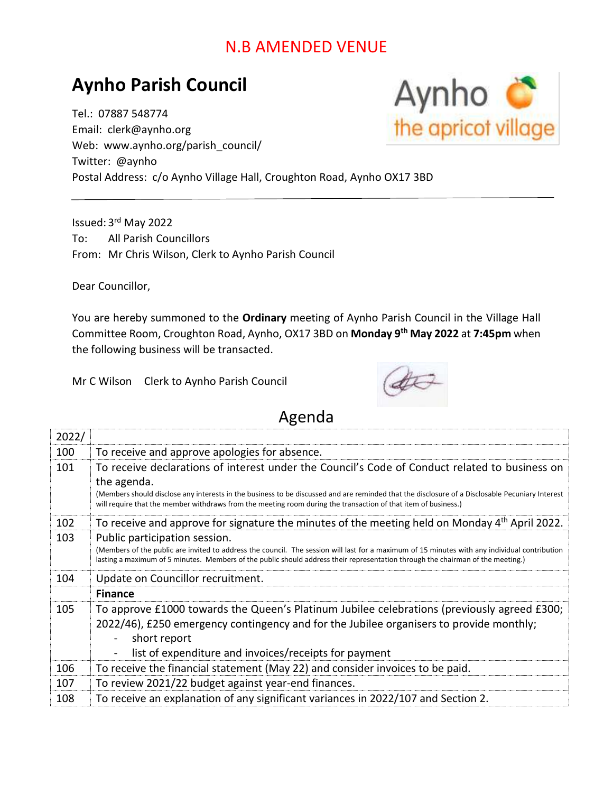## N.B AMENDED VENUE

## **Aynho Parish Council**

Tel.: 07887 548774 Email: clerk@aynho.org Web: www.aynho.org/parish\_council/ Twitter: @aynho Postal Address: c/o Aynho Village Hall, Croughton Road, Aynho OX17 3BD

Issued: 3<sup>rd</sup> May 2022 To: All Parish Councillors From: Mr Chris Wilson, Clerk to Aynho Parish Council

Dear Councillor,

You are hereby summoned to the **Ordinary** meeting of Aynho Parish Council in the Village Hall Committee Room, Croughton Road, Aynho, OX17 3BD on **Monday 9 th May 2022** at **7:45pm** when the following business will be transacted.

Mr C Wilson Clerk to Aynho Parish Council



## Agenda

| 2022/ |                                                                                                                                                                                                                                                                                                                   |
|-------|-------------------------------------------------------------------------------------------------------------------------------------------------------------------------------------------------------------------------------------------------------------------------------------------------------------------|
| 100   | To receive and approve apologies for absence.                                                                                                                                                                                                                                                                     |
| 101   | To receive declarations of interest under the Council's Code of Conduct related to business on<br>the agenda.                                                                                                                                                                                                     |
|       | (Members should disclose any interests in the business to be discussed and are reminded that the disclosure of a Disclosable Pecuniary Interest<br>will require that the member withdraws from the meeting room during the transaction of that item of business.)                                                 |
| 102   | To receive and approve for signature the minutes of the meeting held on Monday 4th April 2022.                                                                                                                                                                                                                    |
| 103   | Public participation session.<br>(Members of the public are invited to address the council. The session will last for a maximum of 15 minutes with any individual contribution<br>lasting a maximum of 5 minutes. Members of the public should address their representation through the chairman of the meeting.) |
| 104   | Update on Councillor recruitment.                                                                                                                                                                                                                                                                                 |
|       | <b>Finance</b>                                                                                                                                                                                                                                                                                                    |
| 105   | To approve £1000 towards the Queen's Platinum Jubilee celebrations (previously agreed £300;<br>2022/46), £250 emergency contingency and for the Jubilee organisers to provide monthly;<br>short report                                                                                                            |
|       | list of expenditure and invoices/receipts for payment                                                                                                                                                                                                                                                             |
| 106   | To receive the financial statement (May 22) and consider invoices to be paid.                                                                                                                                                                                                                                     |
| 107   | To review 2021/22 budget against year-end finances.                                                                                                                                                                                                                                                               |
| 108   | To receive an explanation of any significant variances in 2022/107 and Section 2.                                                                                                                                                                                                                                 |

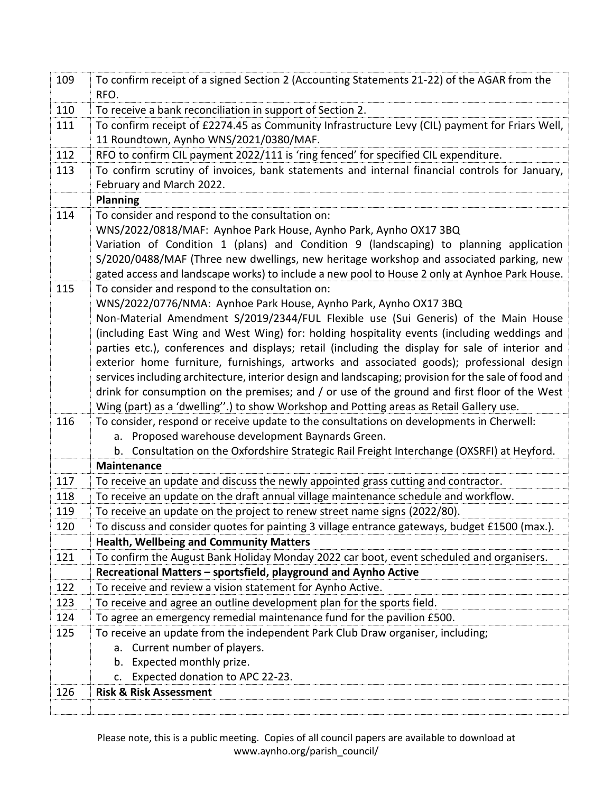| 109 | To confirm receipt of a signed Section 2 (Accounting Statements 21-22) of the AGAR from the<br>RFO.                                                                                                                                                                                                                                                                                                                                                                                                                                                                                                                                                                                                                                                                                                           |
|-----|---------------------------------------------------------------------------------------------------------------------------------------------------------------------------------------------------------------------------------------------------------------------------------------------------------------------------------------------------------------------------------------------------------------------------------------------------------------------------------------------------------------------------------------------------------------------------------------------------------------------------------------------------------------------------------------------------------------------------------------------------------------------------------------------------------------|
| 110 | To receive a bank reconciliation in support of Section 2.                                                                                                                                                                                                                                                                                                                                                                                                                                                                                                                                                                                                                                                                                                                                                     |
| 111 | To confirm receipt of £2274.45 as Community Infrastructure Levy (CIL) payment for Friars Well,<br>11 Roundtown, Aynho WNS/2021/0380/MAF.                                                                                                                                                                                                                                                                                                                                                                                                                                                                                                                                                                                                                                                                      |
| 112 | RFO to confirm CIL payment 2022/111 is 'ring fenced' for specified CIL expenditure.                                                                                                                                                                                                                                                                                                                                                                                                                                                                                                                                                                                                                                                                                                                           |
| 113 | To confirm scrutiny of invoices, bank statements and internal financial controls for January,<br>February and March 2022.                                                                                                                                                                                                                                                                                                                                                                                                                                                                                                                                                                                                                                                                                     |
|     | <b>Planning</b>                                                                                                                                                                                                                                                                                                                                                                                                                                                                                                                                                                                                                                                                                                                                                                                               |
| 114 | To consider and respond to the consultation on:<br>WNS/2022/0818/MAF: Aynhoe Park House, Aynho Park, Aynho OX17 3BQ<br>Variation of Condition 1 (plans) and Condition 9 (landscaping) to planning application<br>S/2020/0488/MAF (Three new dwellings, new heritage workshop and associated parking, new<br>gated access and landscape works) to include a new pool to House 2 only at Aynhoe Park House.                                                                                                                                                                                                                                                                                                                                                                                                     |
| 115 | To consider and respond to the consultation on:<br>WNS/2022/0776/NMA: Aynhoe Park House, Aynho Park, Aynho OX17 3BQ<br>Non-Material Amendment S/2019/2344/FUL Flexible use (Sui Generis) of the Main House<br>(including East Wing and West Wing) for: holding hospitality events (including weddings and<br>parties etc.), conferences and displays; retail (including the display for sale of interior and<br>exterior home furniture, furnishings, artworks and associated goods); professional design<br>services including architecture, interior design and landscaping; provision for the sale of food and<br>drink for consumption on the premises; and / or use of the ground and first floor of the West<br>Wing (part) as a 'dwelling".) to show Workshop and Potting areas as Retail Gallery use. |
| 116 | To consider, respond or receive update to the consultations on developments in Cherwell:<br>a. Proposed warehouse development Baynards Green.                                                                                                                                                                                                                                                                                                                                                                                                                                                                                                                                                                                                                                                                 |
|     | b. Consultation on the Oxfordshire Strategic Rail Freight Interchange (OXSRFI) at Heyford.<br><b>Maintenance</b>                                                                                                                                                                                                                                                                                                                                                                                                                                                                                                                                                                                                                                                                                              |
| 117 | To receive an update and discuss the newly appointed grass cutting and contractor.                                                                                                                                                                                                                                                                                                                                                                                                                                                                                                                                                                                                                                                                                                                            |
| 118 | To receive an update on the draft annual village maintenance schedule and workflow.                                                                                                                                                                                                                                                                                                                                                                                                                                                                                                                                                                                                                                                                                                                           |
| 119 | To receive an update on the project to renew street name signs (2022/80).                                                                                                                                                                                                                                                                                                                                                                                                                                                                                                                                                                                                                                                                                                                                     |
| 120 | To discuss and consider quotes for painting 3 village entrance gateways, budget £1500 (max.).                                                                                                                                                                                                                                                                                                                                                                                                                                                                                                                                                                                                                                                                                                                 |
|     | <b>Health, Wellbeing and Community Matters</b>                                                                                                                                                                                                                                                                                                                                                                                                                                                                                                                                                                                                                                                                                                                                                                |
| 121 | To confirm the August Bank Holiday Monday 2022 car boot, event scheduled and organisers.                                                                                                                                                                                                                                                                                                                                                                                                                                                                                                                                                                                                                                                                                                                      |
|     | Recreational Matters - sportsfield, playground and Aynho Active                                                                                                                                                                                                                                                                                                                                                                                                                                                                                                                                                                                                                                                                                                                                               |
| 122 | To receive and review a vision statement for Aynho Active.                                                                                                                                                                                                                                                                                                                                                                                                                                                                                                                                                                                                                                                                                                                                                    |
| 123 | To receive and agree an outline development plan for the sports field.                                                                                                                                                                                                                                                                                                                                                                                                                                                                                                                                                                                                                                                                                                                                        |
| 124 | To agree an emergency remedial maintenance fund for the pavilion £500.                                                                                                                                                                                                                                                                                                                                                                                                                                                                                                                                                                                                                                                                                                                                        |
| 125 | To receive an update from the independent Park Club Draw organiser, including;                                                                                                                                                                                                                                                                                                                                                                                                                                                                                                                                                                                                                                                                                                                                |
|     | a. Current number of players.                                                                                                                                                                                                                                                                                                                                                                                                                                                                                                                                                                                                                                                                                                                                                                                 |
|     | Expected monthly prize.<br>b.                                                                                                                                                                                                                                                                                                                                                                                                                                                                                                                                                                                                                                                                                                                                                                                 |
|     | Expected donation to APC 22-23.<br>c.                                                                                                                                                                                                                                                                                                                                                                                                                                                                                                                                                                                                                                                                                                                                                                         |
| 126 | <b>Risk &amp; Risk Assessment</b>                                                                                                                                                                                                                                                                                                                                                                                                                                                                                                                                                                                                                                                                                                                                                                             |
|     |                                                                                                                                                                                                                                                                                                                                                                                                                                                                                                                                                                                                                                                                                                                                                                                                               |

Please note, this is a public meeting. Copies of all council papers are available to download at www.aynho.org/parish\_council/